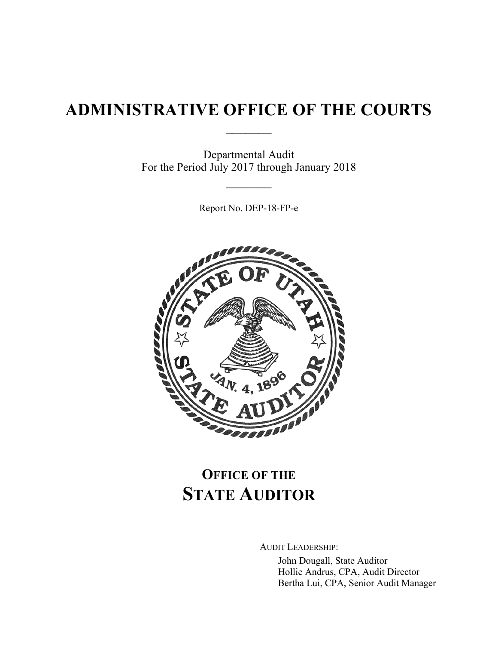## **ADMINISTRATIVE OFFICE OF THE COURTS**

 $\frac{1}{2}$ 

Departmental Audit For the Period July 2017 through January 2018

Report No. DEP-18-FP-e

 $\frac{1}{2}$ 



# **OFFICE OF THE STATE AUDITOR**

AUDIT LEADERSHIP:

John Dougall, State Auditor Hollie Andrus, CPA, Audit Director Bertha Lui, CPA, Senior Audit Manager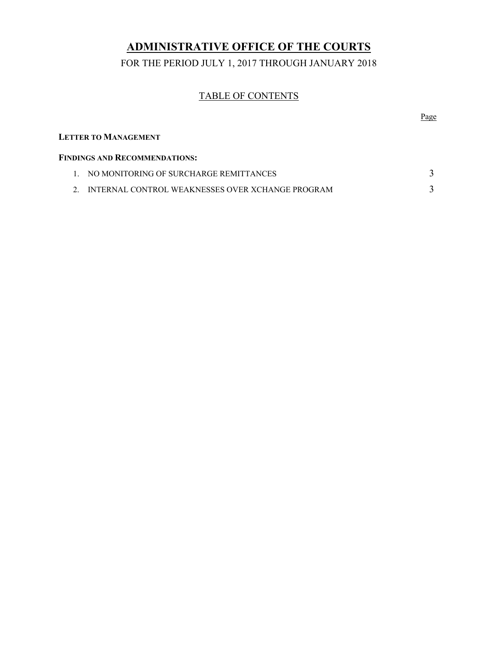## **ADMINISTRATIVE OFFICE OF THE COURTS**

FOR THE PERIOD JULY 1, 2017 THROUGH JANUARY 2018

### TABLE OF CONTENTS

|                             |                                                  | Page |
|-----------------------------|--------------------------------------------------|------|
| <b>LETTER TO MANAGEMENT</b> |                                                  |      |
|                             | <b>FINDINGS AND RECOMMENDATIONS:</b>             |      |
| $1 \quad$                   | NO MONITORING OF SURCHARGE REMITTANCES           |      |
| $\mathcal{D}$               | INTERNAL CONTROL WEAKNESSES OVER XCHANGE PROGRAM |      |
|                             |                                                  |      |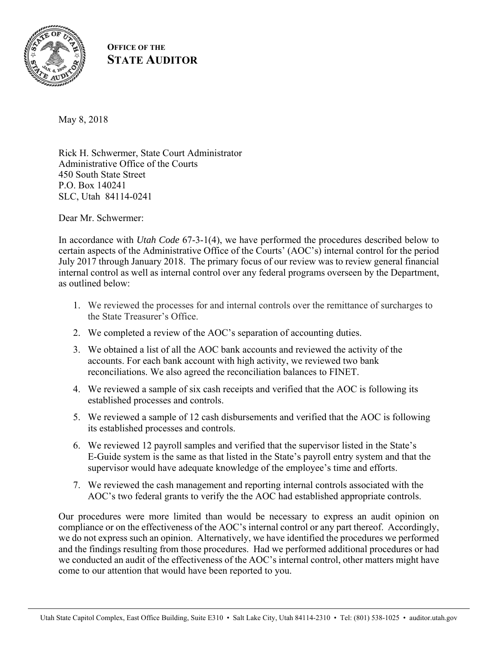

### **OFFICE OF THE STATE AUDITOR**

May 8, 2018

Rick H. Schwermer, State Court Administrator Administrative Office of the Courts 450 South State Street P.O. Box 140241 SLC, Utah 84114-0241

Dear Mr. Schwermer:

In accordance with *Utah Code* 67-3-1(4), we have performed the procedures described below to certain aspects of the Administrative Office of the Courts' (AOC's) internal control for the period July 2017 through January 2018. The primary focus of our review was to review general financial internal control as well as internal control over any federal programs overseen by the Department, as outlined below:

- 1. We reviewed the processes for and internal controls over the remittance of surcharges to the State Treasurer's Office.
- 2. We completed a review of the AOC's separation of accounting duties.
- 3. We obtained a list of all the AOC bank accounts and reviewed the activity of the accounts. For each bank account with high activity, we reviewed two bank reconciliations. We also agreed the reconciliation balances to FINET.
- 4. We reviewed a sample of six cash receipts and verified that the AOC is following its established processes and controls.
- 5. We reviewed a sample of 12 cash disbursements and verified that the AOC is following its established processes and controls.
- 6. We reviewed 12 payroll samples and verified that the supervisor listed in the State's E-Guide system is the same as that listed in the State's payroll entry system and that the supervisor would have adequate knowledge of the employee's time and efforts.
- 7. We reviewed the cash management and reporting internal controls associated with the AOC's two federal grants to verify the the AOC had established appropriate controls.

Our procedures were more limited than would be necessary to express an audit opinion on compliance or on the effectiveness of the AOC's internal control or any part thereof. Accordingly, we do not express such an opinion. Alternatively, we have identified the procedures we performed and the findings resulting from those procedures. Had we performed additional procedures or had we conducted an audit of the effectiveness of the AOC's internal control, other matters might have come to our attention that would have been reported to you.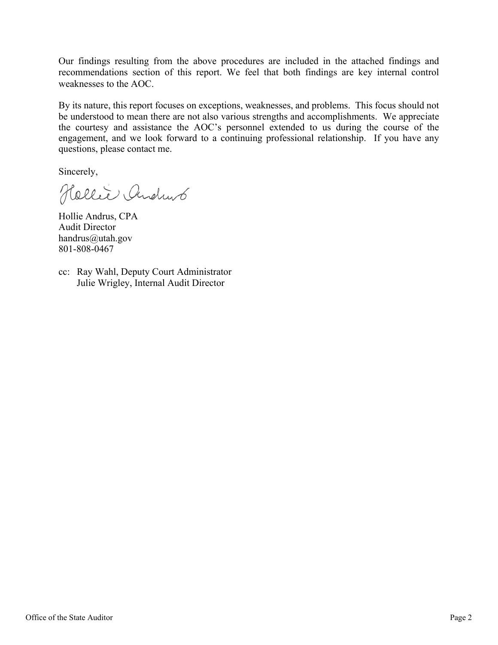Our findings resulting from the above procedures are included in the attached findings and recommendations section of this report. We feel that both findings are key internal control weaknesses to the AOC.

By its nature, this report focuses on exceptions, weaknesses, and problems. This focus should not be understood to mean there are not also various strengths and accomplishments. We appreciate the courtesy and assistance the AOC's personnel extended to us during the course of the engagement, and we look forward to a continuing professional relationship. If you have any questions, please contact me.

Sincerely,

Hollie Andrub

Hollie Andrus, CPA Audit Director handrus@utah.gov 801-808-0467

cc: Ray Wahl, Deputy Court Administrator Julie Wrigley, Internal Audit Director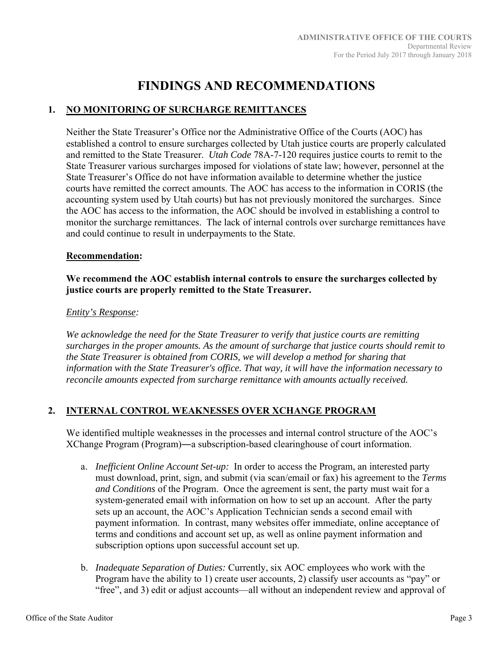## **FINDINGS AND RECOMMENDATIONS**

#### **1. NO MONITORING OF SURCHARGE REMITTANCES**

Neither the State Treasurer's Office nor the Administrative Office of the Courts (AOC) has established a control to ensure surcharges collected by Utah justice courts are properly calculated and remitted to the State Treasurer. *Utah Code* 78A-7-120 requires justice courts to remit to the State Treasurer various surcharges imposed for violations of state law; however, personnel at the State Treasurer's Office do not have information available to determine whether the justice courts have remitted the correct amounts. The AOC has access to the information in CORIS (the accounting system used by Utah courts) but has not previously monitored the surcharges. Since the AOC has access to the information, the AOC should be involved in establishing a control to monitor the surcharge remittances. The lack of internal controls over surcharge remittances have and could continue to result in underpayments to the State.

#### **Recommendation:**

#### **We recommend the AOC establish internal controls to ensure the surcharges collected by justice courts are properly remitted to the State Treasurer.**

#### *Entity's Response:*

*We acknowledge the need for the State Treasurer to verify that justice courts are remitting surcharges in the proper amounts. As the amount of surcharge that justice courts should remit to the State Treasurer is obtained from CORIS, we will develop a method for sharing that information with the State Treasurer's office. That way, it will have the information necessary to reconcile amounts expected from surcharge remittance with amounts actually received.* 

#### **2. INTERNAL CONTROL WEAKNESSES OVER XCHANGE PROGRAM**

We identified multiple weaknesses in the processes and internal control structure of the AOC's XChange Program (Program)―a subscription-based clearinghouse of court information.

- a. *Inefficient Online Account Set-up:* In order to access the Program, an interested party must download, print, sign, and submit (via scan/email or fax) his agreement to the *Terms and Conditions* of the Program. Once the agreement is sent, the party must wait for a system-generated email with information on how to set up an account. After the party sets up an account, the AOC's Application Technician sends a second email with payment information. In contrast, many websites offer immediate, online acceptance of terms and conditions and account set up, as well as online payment information and subscription options upon successful account set up.
- b. *Inadequate Separation of Duties:* Currently, six AOC employees who work with the Program have the ability to 1) create user accounts, 2) classify user accounts as "pay" or "free", and 3) edit or adjust accounts—all without an independent review and approval of